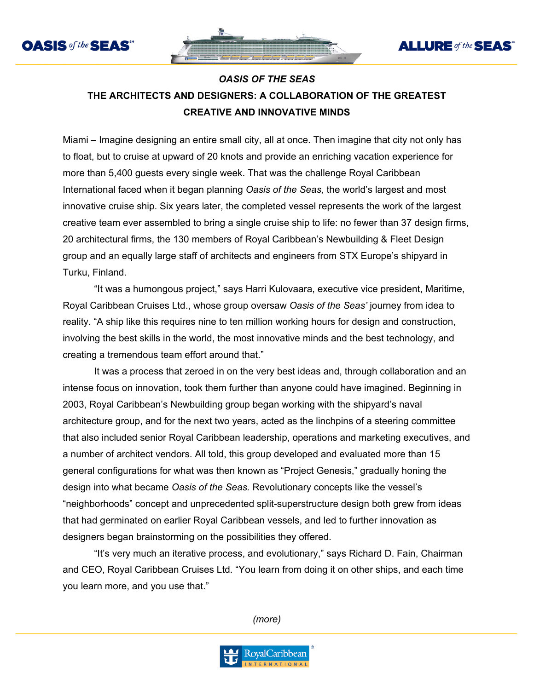



**ALLURE** of the **SEAS** 



Miami **–** Imagine designing an entire small city, all at once. Then imagine that city not only has to float, but to cruise at upward of 20 knots and provide an enriching vacation experience for more than 5,400 guests every single week. That was the challenge Royal Caribbean International faced when it began planning *Oasis of the Seas,* the world's largest and most innovative cruise ship. Six years later, the completed vessel represents the work of the largest creative team ever assembled to bring a single cruise ship to life: no fewer than 37 design firms, 20 architectural firms, the 130 members of Royal Caribbean's Newbuilding & Fleet Design group and an equally large staff of architects and engineers from STX Europe's shipyard in Turku, Finland.

"It was a humongous project," says Harri Kulovaara, executive vice president, Maritime, Royal Caribbean Cruises Ltd., whose group oversaw *Oasis of the Seas'* journey from idea to reality. "A ship like this requires nine to ten million working hours for design and construction, involving the best skills in the world, the most innovative minds and the best technology, and creating a tremendous team effort around that."

It was a process that zeroed in on the very best ideas and, through collaboration and an intense focus on innovation, took them further than anyone could have imagined. Beginning in 2003, Royal Caribbean's Newbuilding group began working with the shipyard's naval architecture group, and for the next two years, acted as the linchpins of a steering committee that also included senior Royal Caribbean leadership, operations and marketing executives, and a number of architect vendors. All told, this group developed and evaluated more than 15 general configurations for what was then known as "Project Genesis," gradually honing the design into what became *Oasis of the Seas.* Revolutionary concepts like the vessel's "neighborhoods" concept and unprecedented split-superstructure design both grew from ideas that had germinated on earlier Royal Caribbean vessels, and led to further innovation as designers began brainstorming on the possibilities they offered.

"It's very much an iterative process, and evolutionary," says Richard D. Fain, Chairman and CEO, Royal Caribbean Cruises Ltd. "You learn from doing it on other ships, and each time you learn more, and you use that."

*(more)*

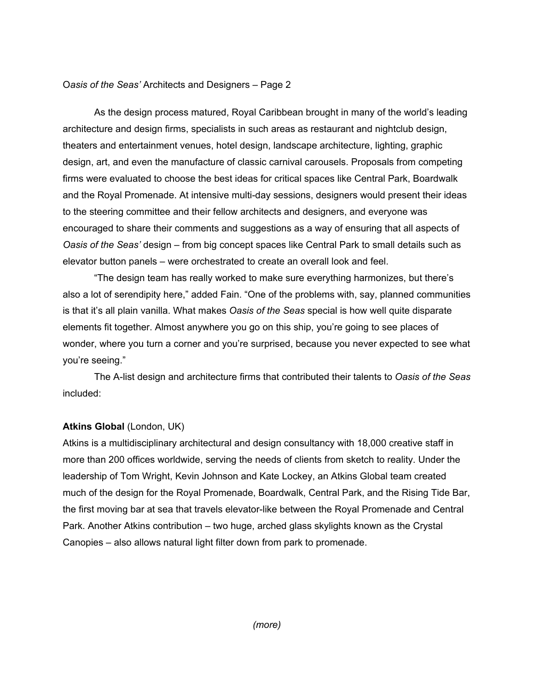As the design process matured, Royal Caribbean brought in many of the world's leading architecture and design firms, specialists in such areas as restaurant and nightclub design, theaters and entertainment venues, hotel design, landscape architecture, lighting, graphic design, art, and even the manufacture of classic carnival carousels. Proposals from competing firms were evaluated to choose the best ideas for critical spaces like Central Park, Boardwalk and the Royal Promenade. At intensive multi-day sessions, designers would present their ideas to the steering committee and their fellow architects and designers, and everyone was encouraged to share their comments and suggestions as a way of ensuring that all aspects of *Oasis of the Seas'* design – from big concept spaces like Central Park to small details such as elevator button panels – were orchestrated to create an overall look and feel.

"The design team has really worked to make sure everything harmonizes, but there's also a lot of serendipity here," added Fain. "One of the problems with, say, planned communities is that it's all plain vanilla. What makes *Oasis of the Seas* special is how well quite disparate elements fit together. Almost anywhere you go on this ship, you're going to see places of wonder, where you turn a corner and you're surprised, because you never expected to see what you're seeing."

The A-list design and architecture firms that contributed their talents to *Oasis of the Seas*  included:

## **Atkins Global** (London, UK)

Atkins is a multidisciplinary architectural and design consultancy with 18,000 creative staff in more than 200 offices worldwide, serving the needs of clients from sketch to reality. Under the leadership of Tom Wright, Kevin Johnson and Kate Lockey, an Atkins Global team created much of the design for the Royal Promenade, Boardwalk, Central Park, and the Rising Tide Bar, the first moving bar at sea that travels elevator-like between the Royal Promenade and Central Park. Another Atkins contribution – two huge, arched glass skylights known as the Crystal Canopies – also allows natural light filter down from park to promenade.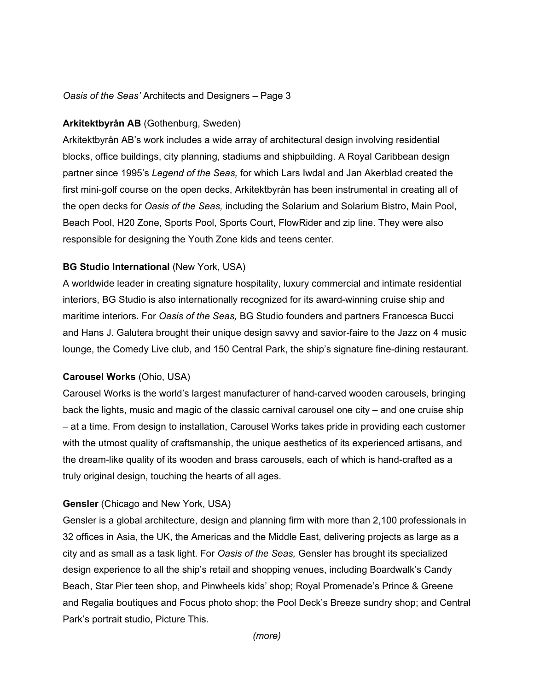## **Arkitektbyrån AB** (Gothenburg, Sweden)

Arkitektbyrån AB's work includes a wide array of architectural design involving residential blocks, office buildings, city planning, stadiums and shipbuilding. A Royal Caribbean design partner since 1995's *Legend of the Seas,* for which Lars Iwdal and Jan Akerblad created the first mini-golf course on the open decks, Arkitektbyrån has been instrumental in creating all of the open decks for *Oasis of the Seas,* including the Solarium and Solarium Bistro, Main Pool, Beach Pool, H20 Zone, Sports Pool, Sports Court, FlowRider and zip line. They were also responsible for designing the Youth Zone kids and teens center.

## **BG Studio International** (New York, USA)

A worldwide leader in creating signature hospitality, luxury commercial and intimate residential interiors, BG Studio is also internationally recognized for its award-winning cruise ship and maritime interiors. For *Oasis of the Seas,* BG Studio founders and partners Francesca Bucci and Hans J. Galutera brought their unique design savvy and savior-faire to the Jazz on 4 music lounge, the Comedy Live club, and 150 Central Park, the ship's signature fine-dining restaurant.

## **Carousel Works** (Ohio, USA)

Carousel Works is the world's largest manufacturer of hand-carved wooden carousels, bringing back the lights, music and magic of the classic carnival carousel one city – and one cruise ship – at a time. From design to installation, Carousel Works takes pride in providing each customer with the utmost quality of craftsmanship, the unique aesthetics of its experienced artisans, and the dream-like quality of its wooden and brass carousels, each of which is hand-crafted as a truly original design, touching the hearts of all ages.

## **Gensler** (Chicago and New York, USA)

Gensler is a global architecture, design and planning firm with more than 2,100 professionals in 32 offices in Asia, the UK, the Americas and the Middle East, delivering projects as large as a city and as small as a task light. For *Oasis of the Seas,* Gensler has brought its specialized design experience to all the ship's retail and shopping venues, including Boardwalk's Candy Beach, Star Pier teen shop, and Pinwheels kids' shop; Royal Promenade's Prince & Greene and Regalia boutiques and Focus photo shop; the Pool Deck's Breeze sundry shop; and Central Park's portrait studio, Picture This.

*(more)*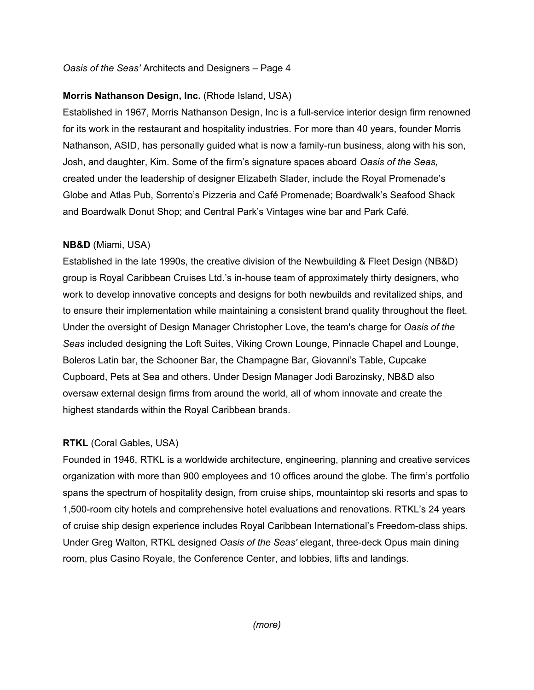# **Morris Nathanson Design, Inc.** (Rhode Island, USA)

Established in 1967, Morris Nathanson Design, Inc is a full-service interior design firm renowned for its work in the restaurant and hospitality industries. For more than 40 years, founder Morris Nathanson, ASID, has personally guided what is now a family-run business, along with his son, Josh, and daughter, Kim. Some of the firm's signature spaces aboard *Oasis of the Seas,* created under the leadership of designer Elizabeth Slader, include the Royal Promenade's Globe and Atlas Pub, Sorrento's Pizzeria and Café Promenade; Boardwalk's Seafood Shack and Boardwalk Donut Shop; and Central Park's Vintages wine bar and Park Café.

## **NB&D** (Miami, USA)

Established in the late 1990s, the creative division of the Newbuilding & Fleet Design (NB&D) group is Royal Caribbean Cruises Ltd.'s in-house team of approximately thirty designers, who work to develop innovative concepts and designs for both newbuilds and revitalized ships, and to ensure their implementation while maintaining a consistent brand quality throughout the fleet. Under the oversight of Design Manager Christopher Love, the team's charge for *Oasis of the Seas* included designing the Loft Suites, Viking Crown Lounge, Pinnacle Chapel and Lounge, Boleros Latin bar, the Schooner Bar, the Champagne Bar, Giovanni's Table, Cupcake Cupboard, Pets at Sea and others. Under Design Manager Jodi Barozinsky, NB&D also oversaw external design firms from around the world, all of whom innovate and create the highest standards within the Royal Caribbean brands.

## **RTKL** (Coral Gables, USA)

Founded in 1946, RTKL is a worldwide architecture, engineering, planning and creative services organization with more than 900 employees and 10 offices around the globe. The firm's portfolio spans the spectrum of hospitality design, from cruise ships, mountaintop ski resorts and spas to 1,500-room city hotels and comprehensive hotel evaluations and renovations. RTKL's 24 years of cruise ship design experience includes Royal Caribbean International's Freedom-class ships. Under Greg Walton, RTKL designed *Oasis of the Seas'* elegant, three-deck Opus main dining room, plus Casino Royale, the Conference Center, and lobbies, lifts and landings.